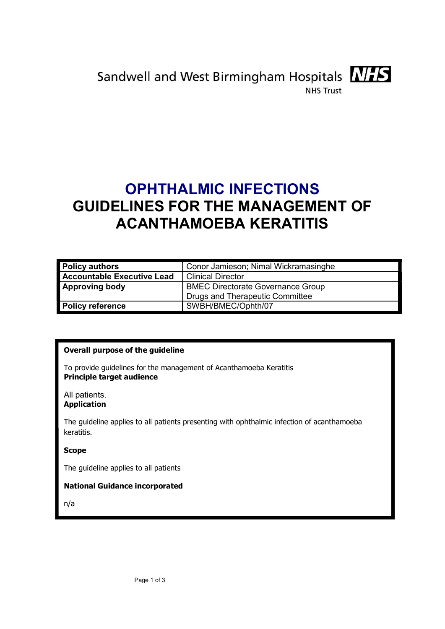

Sandwell and West Birmingham Hospitals **NIFS NHS Trust** 

# OPHTHALMIC INFECTIONS GUIDELINES FOR THE MANAGEMENT OF ACANTHAMOEBA KERATITIS

| <b>Policy authors</b>      | Conor Jamieson; Nimal Wickramasinghe     |  |  |
|----------------------------|------------------------------------------|--|--|
| Accountable Executive Lead | <b>Clinical Director</b>                 |  |  |
| <b>Approving body</b>      | <b>BMEC Directorate Governance Group</b> |  |  |
|                            | <b>Drugs and Therapeutic Committee</b>   |  |  |
| <b>Policy reference</b>    | SWBH/BMEC/Ophth/07                       |  |  |

## Overall purpose of the guideline

To provide guidelines for the management of Acanthamoeba Keratitis Principle target audience

All patients. Application

The guideline applies to all patients presenting with ophthalmic infection of acanthamoeba keratitis.

## Scope

The guideline applies to all patients

## National Guidance incorporated

n/a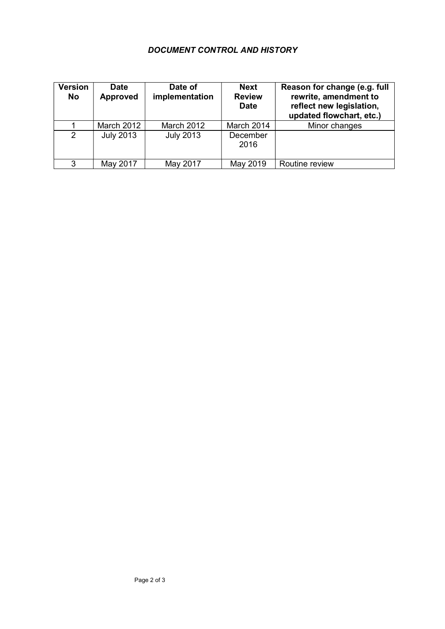# DOCUMENT CONTROL AND HISTORY

| <b>Version</b><br>No | <b>Date</b><br><b>Approved</b> | Date of<br>implementation | <b>Next</b><br><b>Review</b><br><b>Date</b> | Reason for change (e.g. full<br>rewrite, amendment to<br>reflect new legislation,<br>updated flowchart, etc.) |
|----------------------|--------------------------------|---------------------------|---------------------------------------------|---------------------------------------------------------------------------------------------------------------|
|                      | March 2012                     | <b>March 2012</b>         | March 2014                                  | Minor changes                                                                                                 |
| $\mathcal{P}$        | <b>July 2013</b>               | <b>July 2013</b>          | December<br>2016                            |                                                                                                               |
| 3                    | May 2017                       | May 2017                  | May 2019                                    | Routine review                                                                                                |